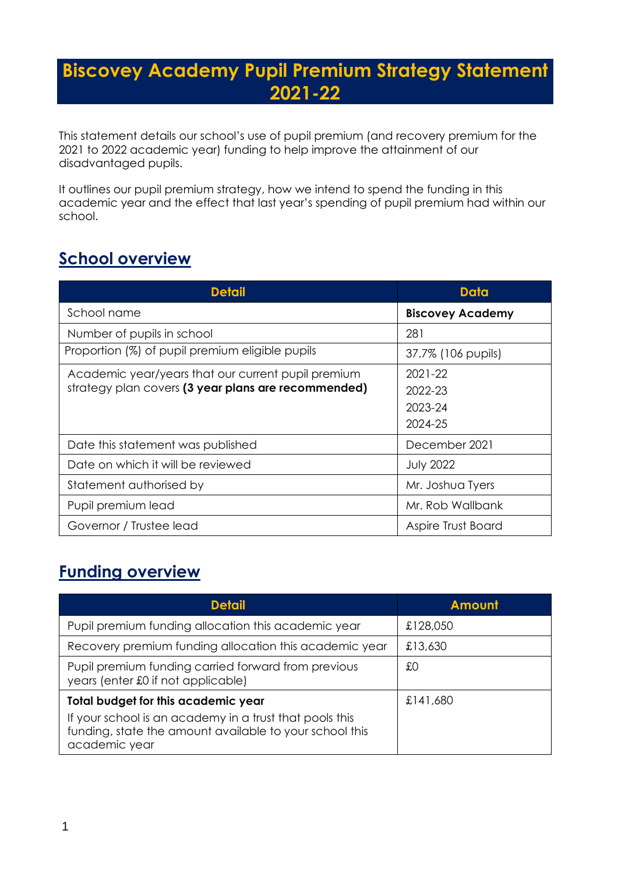## **Biscovey Academy Pupil Premium Strategy Statement 2021-22**

This statement details our school's use of pupil premium (and recovery premium for the 2021 to 2022 academic year) funding to help improve the attainment of our disadvantaged pupils.

It outlines our pupil premium strategy, how we intend to spend the funding in this academic year and the effect that last year's spending of pupil premium had within our school.

## **School overview**

| <b>Detail</b>                                       | Data                    |
|-----------------------------------------------------|-------------------------|
| School name                                         | <b>Biscovey Academy</b> |
| Number of pupils in school                          | 281                     |
| Proportion (%) of pupil premium eligible pupils     | 37.7% (106 pupils)      |
| Academic year/years that our current pupil premium  | $2021 - 22$             |
| strategy plan covers (3 year plans are recommended) | 2022-23                 |
|                                                     | 2023-24                 |
|                                                     | 2024-25                 |
| Date this statement was published                   | December 2021           |
| Date on which it will be reviewed                   | <b>July 2022</b>        |
| Statement authorised by                             | Mr. Joshua Tyers        |
| Pupil premium lead                                  | Mr. Rob Wallbank        |
| Governor / Trustee lead                             | Aspire Trust Board      |

## **Funding overview**

| <b>Detail</b>                                                                                                                       | <b>Amount</b> |
|-------------------------------------------------------------------------------------------------------------------------------------|---------------|
| Pupil premium funding allocation this academic year                                                                                 | £128,050      |
| Recovery premium funding allocation this academic year                                                                              | £13,630       |
| Pupil premium funding carried forward from previous<br>years (enter £0 if not applicable)                                           | £О            |
| Total budget for this academic year                                                                                                 | £141,680      |
| If your school is an academy in a trust that pools this<br>funding, state the amount available to your school this<br>academic year |               |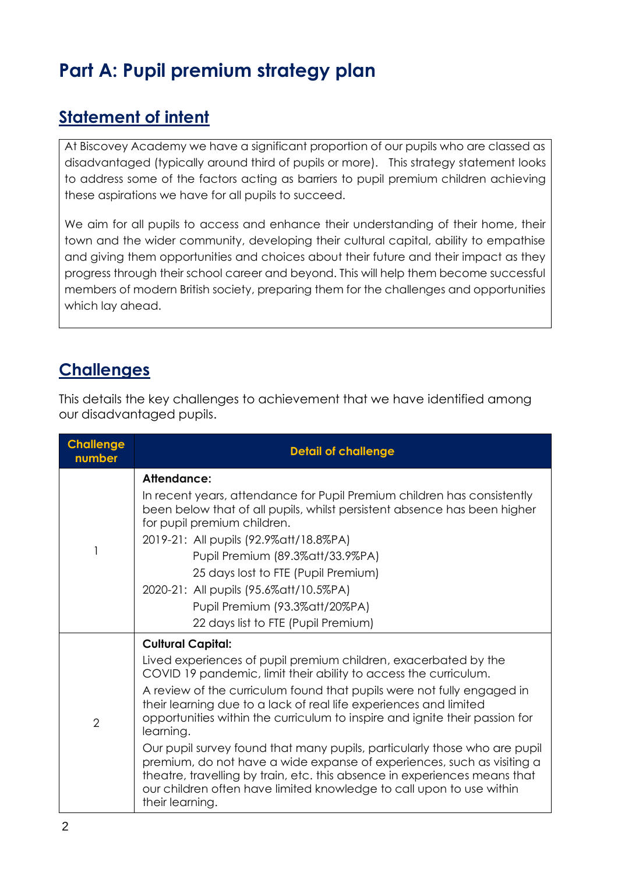# **Part A: Pupil premium strategy plan**

## **Statement of intent**

At Biscovey Academy we have a significant proportion of our pupils who are classed as disadvantaged (typically around third of pupils or more). This strategy statement looks to address some of the factors acting as barriers to pupil premium children achieving these aspirations we have for all pupils to succeed.

We aim for all pupils to access and enhance their understanding of their home, their town and the wider community, developing their cultural capital, ability to empathise and giving them opportunities and choices about their future and their impact as they progress through their school career and beyond. This will help them become successful members of modern British society, preparing them for the challenges and opportunities which lay ahead.

#### **Challenges**

This details the key challenges to achievement that we have identified among our disadvantaged pupils.

| <b>Challenge</b><br>number | <b>Detail of challenge</b>                                                                                                                                                                                                                                                                                                                                                                                                                                                                                                                                        |
|----------------------------|-------------------------------------------------------------------------------------------------------------------------------------------------------------------------------------------------------------------------------------------------------------------------------------------------------------------------------------------------------------------------------------------------------------------------------------------------------------------------------------------------------------------------------------------------------------------|
|                            | Attendance:<br>In recent years, attendance for Pupil Premium children has consistently<br>been below that of all pupils, whilst persistent absence has been higher<br>for pupil premium children.<br>2019-21: All pupils (92.9% att/18.8% PA)<br>Pupil Premium (89.3%att/33.9%PA)<br>25 days lost to FTE (Pupil Premium)<br>2020-21: All pupils (95.6%att/10.5%PA)<br>Pupil Premium (93.3%att/20%PA)                                                                                                                                                              |
|                            | 22 days list to FTE (Pupil Premium)                                                                                                                                                                                                                                                                                                                                                                                                                                                                                                                               |
| $\overline{2}$             | <b>Cultural Capital:</b><br>Lived experiences of pupil premium children, exacerbated by the<br>COVID 19 pandemic, limit their ability to access the curriculum.<br>A review of the curriculum found that pupils were not fully engaged in<br>their learning due to a lack of real life experiences and limited<br>opportunities within the curriculum to inspire and ignite their passion for<br>learning.<br>Our pupil survey found that many pupils, particularly those who are pupil<br>premium, do not have a wide expanse of experiences, such as visiting a |
|                            | theatre, travelling by train, etc. this absence in experiences means that<br>our children often have limited knowledge to call upon to use within<br>their learning.                                                                                                                                                                                                                                                                                                                                                                                              |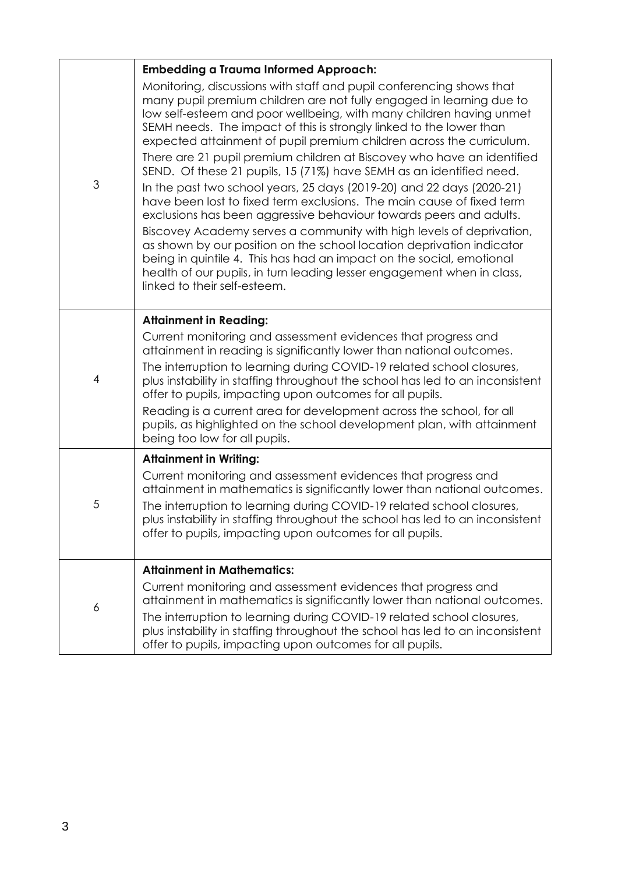|                | <b>Embedding a Trauma Informed Approach:</b>                                                                                                                                                                                                                                                                                                                                                                                                                                                                                                                                                                                                                                                                                                                                                                                                                                                                                                                                                                                                                                   |
|----------------|--------------------------------------------------------------------------------------------------------------------------------------------------------------------------------------------------------------------------------------------------------------------------------------------------------------------------------------------------------------------------------------------------------------------------------------------------------------------------------------------------------------------------------------------------------------------------------------------------------------------------------------------------------------------------------------------------------------------------------------------------------------------------------------------------------------------------------------------------------------------------------------------------------------------------------------------------------------------------------------------------------------------------------------------------------------------------------|
| $\mathfrak{S}$ | Monitoring, discussions with staff and pupil conferencing shows that<br>many pupil premium children are not fully engaged in learning due to<br>low self-esteem and poor wellbeing, with many children having unmet<br>SEMH needs. The impact of this is strongly linked to the lower than<br>expected attainment of pupil premium children across the curriculum.<br>There are 21 pupil premium children at Biscovey who have an identified<br>SEND. Of these 21 pupils, 15 (71%) have SEMH as an identified need.<br>In the past two school years, 25 days (2019-20) and 22 days (2020-21)<br>have been lost to fixed term exclusions. The main cause of fixed term<br>exclusions has been aggressive behaviour towards peers and adults.<br>Biscovey Academy serves a community with high levels of deprivation,<br>as shown by our position on the school location deprivation indicator<br>being in quintile 4. This has had an impact on the social, emotional<br>health of our pupils, in turn leading lesser engagement when in class,<br>linked to their self-esteem. |
|                | <b>Attainment in Reading:</b>                                                                                                                                                                                                                                                                                                                                                                                                                                                                                                                                                                                                                                                                                                                                                                                                                                                                                                                                                                                                                                                  |
|                | Current monitoring and assessment evidences that progress and<br>attainment in reading is significantly lower than national outcomes.                                                                                                                                                                                                                                                                                                                                                                                                                                                                                                                                                                                                                                                                                                                                                                                                                                                                                                                                          |
| 4              | The interruption to learning during COVID-19 related school closures,<br>plus instability in staffing throughout the school has led to an inconsistent<br>offer to pupils, impacting upon outcomes for all pupils.                                                                                                                                                                                                                                                                                                                                                                                                                                                                                                                                                                                                                                                                                                                                                                                                                                                             |
|                | Reading is a current area for development across the school, for all<br>pupils, as highlighted on the school development plan, with attainment<br>being too low for all pupils.                                                                                                                                                                                                                                                                                                                                                                                                                                                                                                                                                                                                                                                                                                                                                                                                                                                                                                |
|                | <b>Attainment in Writing:</b>                                                                                                                                                                                                                                                                                                                                                                                                                                                                                                                                                                                                                                                                                                                                                                                                                                                                                                                                                                                                                                                  |
| 5              | Current monitoring and assessment evidences that progress and<br>attainment in mathematics is significantly lower than national outcomes.                                                                                                                                                                                                                                                                                                                                                                                                                                                                                                                                                                                                                                                                                                                                                                                                                                                                                                                                      |
|                | The interruption to learning during COVID-19 related school closures,<br>plus instability in staffing throughout the school has led to an inconsistent<br>offer to pupils, impacting upon outcomes for all pupils.                                                                                                                                                                                                                                                                                                                                                                                                                                                                                                                                                                                                                                                                                                                                                                                                                                                             |
|                | <b>Attainment in Mathematics:</b>                                                                                                                                                                                                                                                                                                                                                                                                                                                                                                                                                                                                                                                                                                                                                                                                                                                                                                                                                                                                                                              |
| 6              | Current monitoring and assessment evidences that progress and<br>attainment in mathematics is significantly lower than national outcomes.                                                                                                                                                                                                                                                                                                                                                                                                                                                                                                                                                                                                                                                                                                                                                                                                                                                                                                                                      |
|                | The interruption to learning during COVID-19 related school closures,<br>plus instability in staffing throughout the school has led to an inconsistent<br>offer to pupils, impacting upon outcomes for all pupils.                                                                                                                                                                                                                                                                                                                                                                                                                                                                                                                                                                                                                                                                                                                                                                                                                                                             |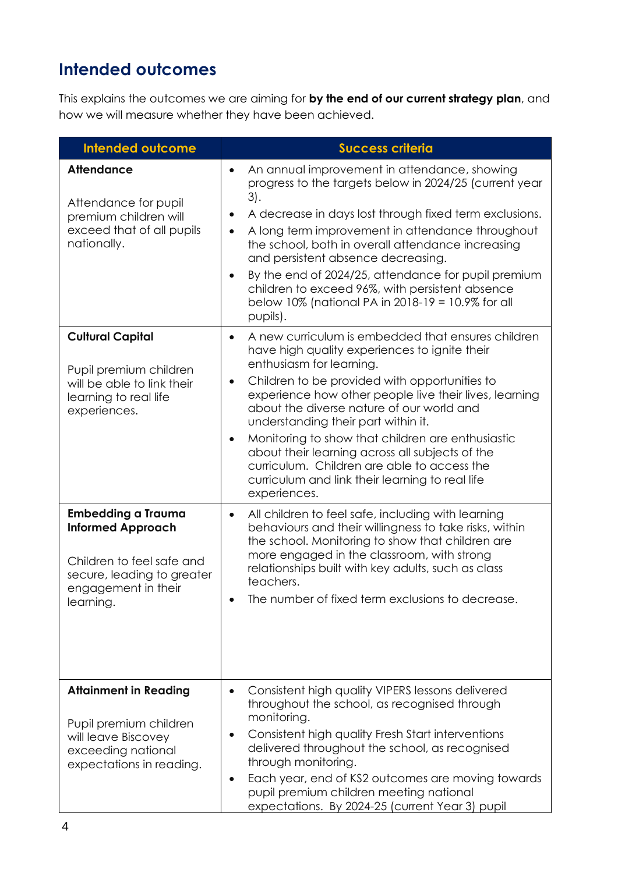## **Intended outcomes**

This explains the outcomes we are aiming for **by the end of our current strategy plan**, and how we will measure whether they have been achieved.

| <b>Intended outcome</b>                                                                                                                              | <b>Success criteria</b>                                                                                                                                                                                                                                                                                                                                                                                                                                                                                                                                                                         |  |  |
|------------------------------------------------------------------------------------------------------------------------------------------------------|-------------------------------------------------------------------------------------------------------------------------------------------------------------------------------------------------------------------------------------------------------------------------------------------------------------------------------------------------------------------------------------------------------------------------------------------------------------------------------------------------------------------------------------------------------------------------------------------------|--|--|
| <b>Attendance</b><br>Attendance for pupil<br>premium children will<br>exceed that of all pupils<br>nationally.                                       | An annual improvement in attendance, showing<br>$\bullet$<br>progress to the targets below in 2024/25 (current year<br>$3$ .<br>A decrease in days lost through fixed term exclusions.<br>$\bullet$<br>A long term improvement in attendance throughout<br>$\bullet$<br>the school, both in overall attendance increasing<br>and persistent absence decreasing.<br>By the end of 2024/25, attendance for pupil premium<br>$\bullet$<br>children to exceed 96%, with persistent absence<br>below 10% (national PA in 2018-19 = 10.9% for all<br>pupils).                                         |  |  |
| <b>Cultural Capital</b><br>Pupil premium children<br>will be able to link their<br>learning to real life<br>experiences.                             | A new curriculum is embedded that ensures children<br>$\bullet$<br>have high quality experiences to ignite their<br>enthusiasm for learning.<br>Children to be provided with opportunities to<br>$\bullet$<br>experience how other people live their lives, learning<br>about the diverse nature of our world and<br>understanding their part within it.<br>Monitoring to show that children are enthusiastic<br>$\bullet$<br>about their learning across all subjects of the<br>curriculum. Children are able to access the<br>curriculum and link their learning to real life<br>experiences. |  |  |
| <b>Embedding a Trauma</b><br><b>Informed Approach</b><br>Children to feel safe and<br>secure, leading to greater<br>engagement in their<br>learning. | All children to feel safe, including with learning<br>$\bullet$<br>behaviours and their willingness to take risks, within<br>the school. Monitoring to show that children are<br>more engaged in the classroom, with strong<br>relationships built with key adults, such as class<br>teachers.<br>The number of fixed term exclusions to decrease.                                                                                                                                                                                                                                              |  |  |
| <b>Attainment in Reading</b><br>Pupil premium children<br>will leave Biscovey<br>exceeding national<br>expectations in reading.                      | Consistent high quality VIPERS lessons delivered<br>$\bullet$<br>throughout the school, as recognised through<br>monitoring.<br>Consistent high quality Fresh Start interventions<br>delivered throughout the school, as recognised<br>through monitoring.<br>Each year, end of KS2 outcomes are moving towards<br>$\bullet$<br>pupil premium children meeting national<br>expectations. By 2024-25 (current Year 3) pupil                                                                                                                                                                      |  |  |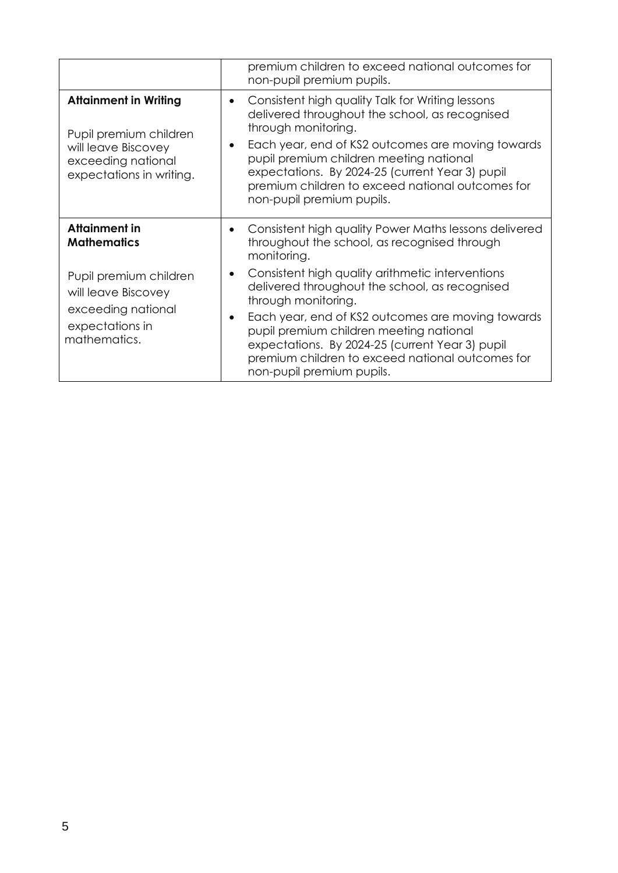|                                                                                                                                 | premium children to exceed national outcomes for<br>non-pupil premium pupils.                                                                                                                                                                                                                                                                                                           |
|---------------------------------------------------------------------------------------------------------------------------------|-----------------------------------------------------------------------------------------------------------------------------------------------------------------------------------------------------------------------------------------------------------------------------------------------------------------------------------------------------------------------------------------|
| <b>Attainment in Writing</b><br>Pupil premium children<br>will leave Biscovey<br>exceeding national<br>expectations in writing. | Consistent high quality Talk for Writing lessons<br>$\bullet$<br>delivered throughout the school, as recognised<br>through monitoring.<br>Each year, end of KS2 outcomes are moving towards<br>$\bullet$<br>pupil premium children meeting national<br>expectations. By 2024-25 (current Year 3) pupil<br>premium children to exceed national outcomes for<br>non-pupil premium pupils. |
| <b>Attainment in</b><br><b>Mathematics</b><br>Pupil premium children<br>will leave Biscovey<br>exceeding national               | Consistent high quality Power Maths lessons delivered<br>$\bullet$<br>throughout the school, as recognised through<br>monitoring.<br>Consistent high quality arithmetic interventions<br>$\bullet$<br>delivered throughout the school, as recognised<br>through monitoring.                                                                                                             |
| expectations in<br>mathematics.                                                                                                 | Each year, end of KS2 outcomes are moving towards<br>$\bullet$<br>pupil premium children meeting national<br>expectations. By 2024-25 (current Year 3) pupil<br>premium children to exceed national outcomes for<br>non-pupil premium pupils.                                                                                                                                           |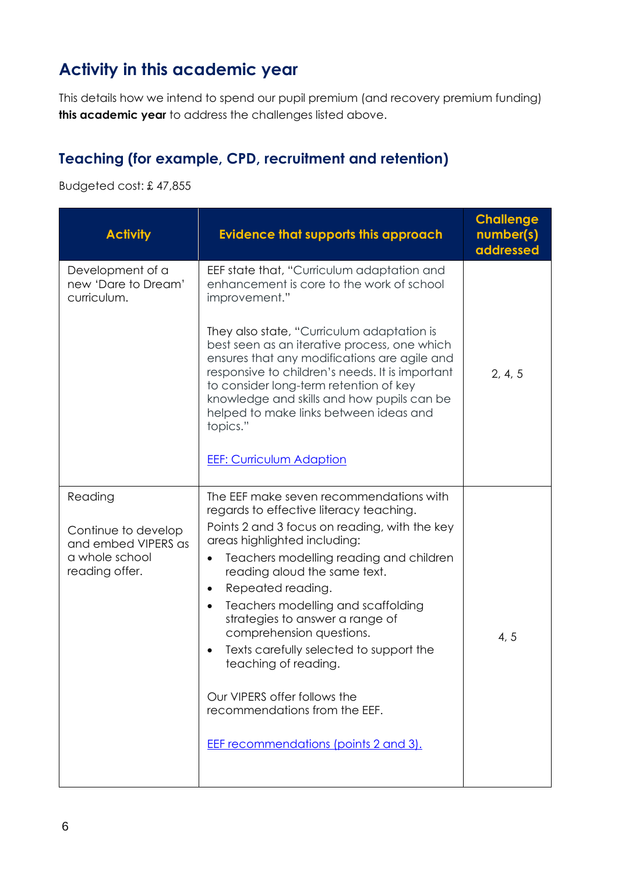## **Activity in this academic year**

This details how we intend to spend our pupil premium (and recovery premium funding) **this academic year** to address the challenges listed above.

#### **Teaching (for example, CPD, recruitment and retention)**

Budgeted cost: £ 47,855

| <b>Activity</b>                                                                           | <b>Evidence that supports this approach</b>                                                                                                                                                                                                                                                                                                                                                                                                                                                                                                                                                               | <b>Challenge</b><br>number(s)<br>addressed |
|-------------------------------------------------------------------------------------------|-----------------------------------------------------------------------------------------------------------------------------------------------------------------------------------------------------------------------------------------------------------------------------------------------------------------------------------------------------------------------------------------------------------------------------------------------------------------------------------------------------------------------------------------------------------------------------------------------------------|--------------------------------------------|
| Development of a<br>new 'Dare to Dream'<br>curriculum.                                    | EEF state that, "Curriculum adaptation and<br>enhancement is core to the work of school<br>improvement."<br>They also state, "Curriculum adaptation is<br>best seen as an iterative process, one which<br>ensures that any modifications are agile and<br>responsive to children's needs. It is important<br>to consider long-term retention of key<br>knowledge and skills and how pupils can be<br>helped to make links between ideas and<br>topics."<br><b>EEF: Curriculum Adaption</b>                                                                                                                | 2, 4, 5                                    |
|                                                                                           |                                                                                                                                                                                                                                                                                                                                                                                                                                                                                                                                                                                                           |                                            |
| Reading<br>Continue to develop<br>and embed VIPERS as<br>a whole school<br>reading offer. | The EEF make seven recommendations with<br>regards to effective literacy teaching.<br>Points 2 and 3 focus on reading, with the key<br>areas highlighted including:<br>Teachers modelling reading and children<br>$\bullet$<br>reading aloud the same text.<br>Repeated reading.<br>$\bullet$<br>Teachers modelling and scaffolding<br>$\bullet$<br>strategies to answer a range of<br>comprehension questions.<br>Texts carefully selected to support the<br>$\bullet$<br>teaching of reading.<br>Our VIPERS offer follows the<br>recommendations from the EEF.<br>EEF recommendations (points 2 and 3). | 4, 5                                       |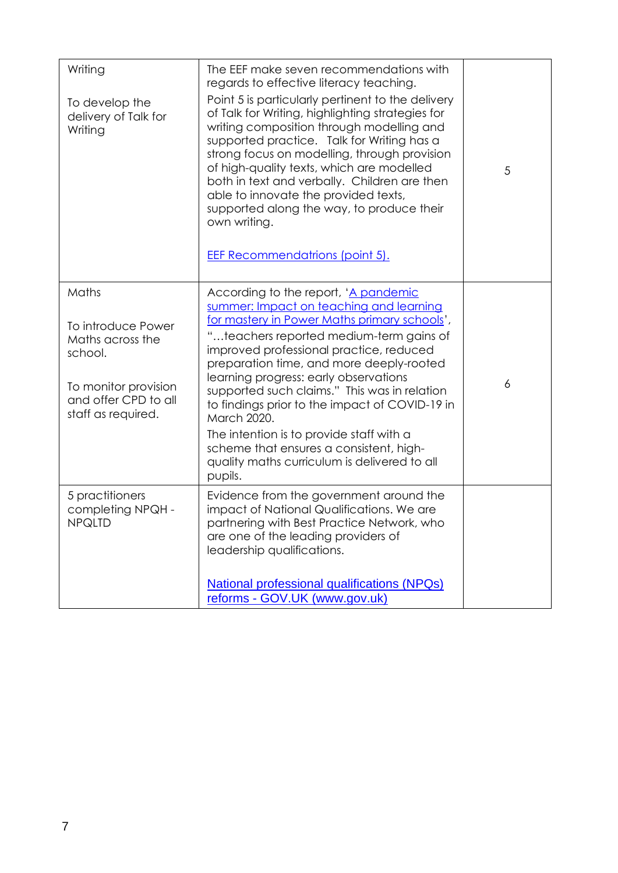| Writing<br>To develop the<br>delivery of Talk for<br>Writing                                                                     | The EEF make seven recommendations with<br>regards to effective literacy teaching.<br>Point 5 is particularly pertinent to the delivery<br>of Talk for Writing, highlighting strategies for<br>writing composition through modelling and<br>supported practice. Talk for Writing has a<br>strong focus on modelling, through provision<br>of high-quality texts, which are modelled<br>both in text and verbally. Children are then<br>able to innovate the provided texts,<br>supported along the way, to produce their<br>own writing.<br><b>EEF Recommendatrions (point 5).</b> | 5 |
|----------------------------------------------------------------------------------------------------------------------------------|------------------------------------------------------------------------------------------------------------------------------------------------------------------------------------------------------------------------------------------------------------------------------------------------------------------------------------------------------------------------------------------------------------------------------------------------------------------------------------------------------------------------------------------------------------------------------------|---|
| Maths<br>To introduce Power<br>Maths across the<br>school.<br>To monitor provision<br>and offer CPD to all<br>staff as required. | According to the report, 'A pandemic<br>summer: Impact on teaching and learning<br>for mastery in Power Maths primary schools',<br>"teachers reported medium-term gains of<br>improved professional practice, reduced<br>preparation time, and more deeply-rooted<br>learning progress: early observations<br>supported such claims." This was in relation<br>to findings prior to the impact of COVID-19 in<br>March 2020.<br>The intention is to provide staff with a<br>scheme that ensures a consistent, high-<br>quality maths curriculum is delivered to all<br>pupils.      | 6 |
| 5 practitioners<br>completing NPQH -<br><b>NPQLTD</b>                                                                            | Evidence from the government around the<br>impact of National Qualifications. We are<br>partnering with Best Practice Network, who<br>are one of the leading providers of<br>leadership qualifications.<br>National professional qualifications (NPQs)<br>reforms - GOV.UK (www.gov.uk)                                                                                                                                                                                                                                                                                            |   |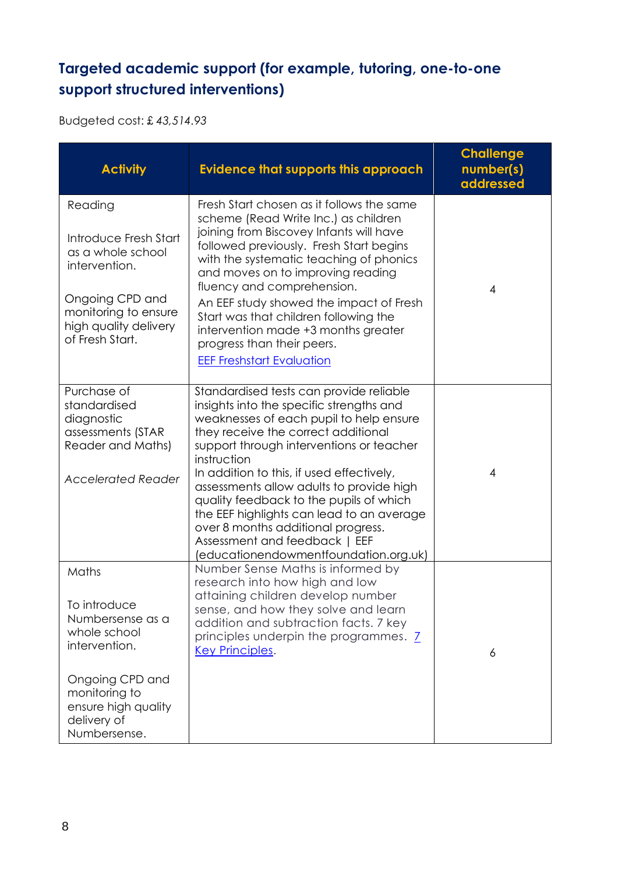### **Targeted academic support (for example, tutoring, one-to-one support structured interventions)**

Budgeted cost: £ *43,514.93*

| <b>Activity</b>                                                                                                                                                      | <b>Evidence that supports this approach</b>                                                                                                                                                                                                                                                                                                                                                                                                                                                                                       | <b>Challenge</b><br>number(s)<br>addressed |
|----------------------------------------------------------------------------------------------------------------------------------------------------------------------|-----------------------------------------------------------------------------------------------------------------------------------------------------------------------------------------------------------------------------------------------------------------------------------------------------------------------------------------------------------------------------------------------------------------------------------------------------------------------------------------------------------------------------------|--------------------------------------------|
| Reading<br>Introduce Fresh Start<br>as a whole school<br>intervention.<br>Ongoing CPD and<br>monitoring to ensure<br>high quality delivery<br>of Fresh Start.        | Fresh Start chosen as it follows the same<br>scheme (Read Write Inc.) as children<br>joining from Biscovey Infants will have<br>followed previously. Fresh Start begins<br>with the systematic teaching of phonics<br>and moves on to improving reading<br>fluency and comprehension.<br>An EEF study showed the impact of Fresh<br>Start was that children following the<br>intervention made +3 months greater<br>progress than their peers.<br><b>EEF Freshstart Evaluation</b>                                                | $\overline{4}$                             |
| Purchase of<br>standardised<br>diagnostic<br>assessments (STAR<br>Reader and Maths)<br><b>Accelerated Reader</b>                                                     | Standardised tests can provide reliable<br>insights into the specific strengths and<br>weaknesses of each pupil to help ensure<br>they receive the correct additional<br>support through interventions or teacher<br>instruction<br>In addition to this, if used effectively,<br>assessments allow adults to provide high<br>quality feedback to the pupils of which<br>the EEF highlights can lead to an average<br>over 8 months additional progress.<br>Assessment and feedback   EEF<br>(educationendowmentfoundation.org.uk) | 4                                          |
| Maths<br>To introduce<br>Numbersense as a<br>whole school<br>intervention.<br>Ongoing CPD and<br>monitoring to<br>ensure high quality<br>delivery of<br>Numbersense. | Number Sense Maths is informed by<br>research into how high and low<br>attaining children develop number<br>sense, and how they solve and learn<br>addition and subtraction facts. 7 key<br>principles underpin the programmes. 7<br><b>Key Principles.</b>                                                                                                                                                                                                                                                                       | 6                                          |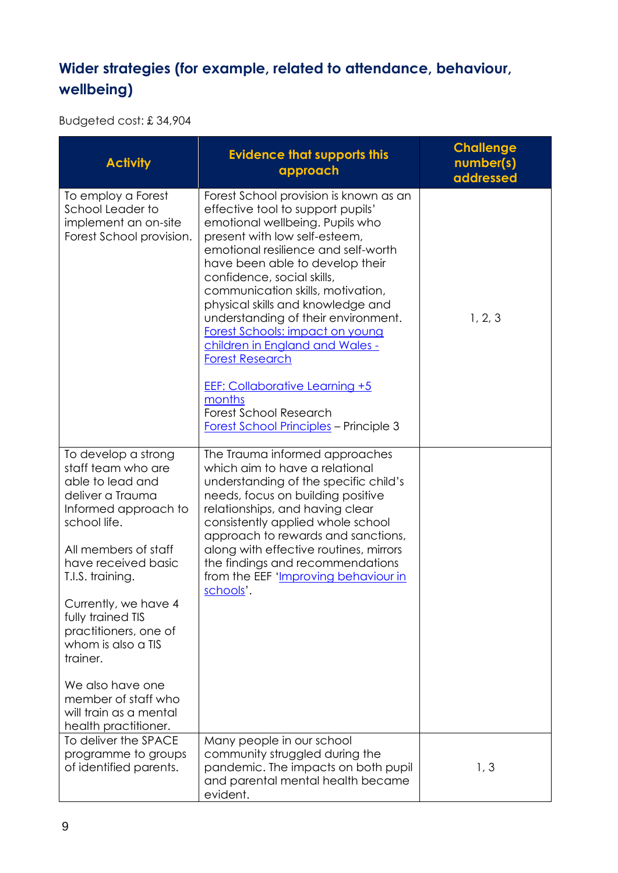## **Wider strategies (for example, related to attendance, behaviour, wellbeing)**

Budgeted cost: £ 34,904

| <b>Activity</b>                                                                                                                                                                                                                                                                                                                                                                                   | <b>Evidence that supports this</b><br>approach                                                                                                                                                                                                                                                                                                                                                                                                                                                                                                                                                                | <b>Challenge</b><br>number(s)<br>addressed |
|---------------------------------------------------------------------------------------------------------------------------------------------------------------------------------------------------------------------------------------------------------------------------------------------------------------------------------------------------------------------------------------------------|---------------------------------------------------------------------------------------------------------------------------------------------------------------------------------------------------------------------------------------------------------------------------------------------------------------------------------------------------------------------------------------------------------------------------------------------------------------------------------------------------------------------------------------------------------------------------------------------------------------|--------------------------------------------|
| To employ a Forest<br>School Leader to<br>implement an on-site<br>Forest School provision.                                                                                                                                                                                                                                                                                                        | Forest School provision is known as an<br>effective tool to support pupils'<br>emotional wellbeing. Pupils who<br>present with low self-esteem,<br>emotional resilience and self-worth<br>have been able to develop their<br>confidence, social skills,<br>communication skills, motivation,<br>physical skills and knowledge and<br>understanding of their environment.<br>Forest Schools: impact on young<br>children in England and Wales -<br><b>Forest Research</b><br><b>EEF: Collaborative Learning +5</b><br>months<br><b>Forest School Research</b><br><b>Forest School Principles - Principle 3</b> | 1, 2, 3                                    |
| To develop a strong<br>staff team who are<br>able to lead and<br>deliver a Trauma<br>Informed approach to<br>school life.<br>All members of staff<br>have received basic<br>T.I.S. training.<br>Currently, we have 4<br>fully trained TIS<br>practitioners, one of<br>whom is also a TIS<br>trainer.<br>We also have one<br>member of staff who<br>will train as a mental<br>health practitioner. | The Trauma informed approaches<br>which aim to have a relational<br>understanding of the specific child's<br>needs, focus on building positive<br>relationships, and having clear<br>consistently applied whole school<br>approach to rewards and sanctions,<br>along with effective routines, mirrors<br>the findings and recommendations<br>from the EEF 'Improving behaviour in<br>schools'.                                                                                                                                                                                                               |                                            |
| To deliver the SPACE<br>programme to groups<br>of identified parents.                                                                                                                                                                                                                                                                                                                             | Many people in our school<br>community struggled during the<br>pandemic. The impacts on both pupil<br>and parental mental health became<br>evident.                                                                                                                                                                                                                                                                                                                                                                                                                                                           | 1, 3                                       |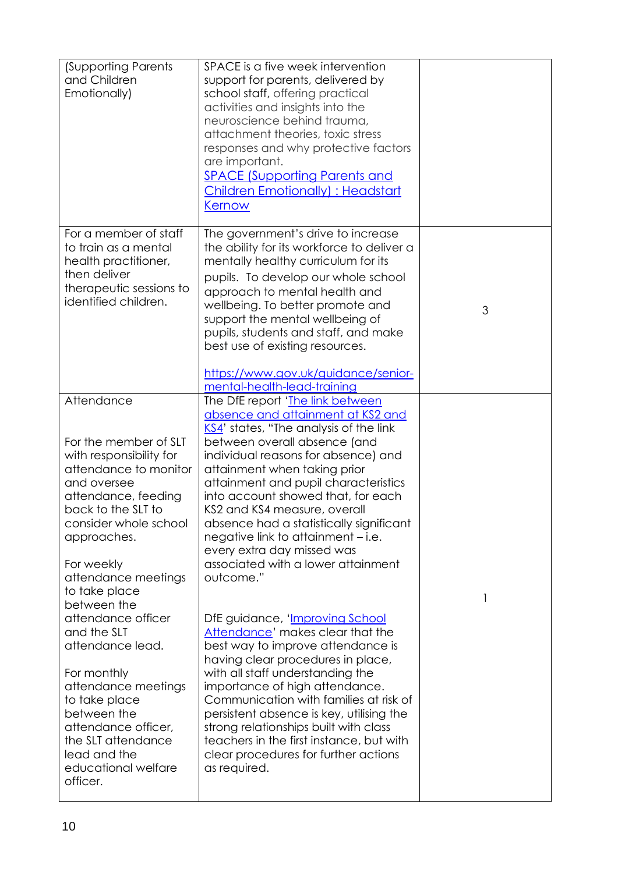| (Supporting Parents<br>and Children<br>Emotionally)                                                                                                                                                                                                                                                                                                                                                                                                                                             | SPACE is a five week intervention<br>support for parents, delivered by<br>school staff, offering practical<br>activities and insights into the<br>neuroscience behind trauma,<br>attachment theories, toxic stress<br>responses and why protective factors<br>are important.<br><b>SPACE (Supporting Parents and</b><br>Children Emotionally) : Headstart<br>Kernow                                                                                                                                                                                                                                                                                                                                                                                                                                                                                                                                                                                              |   |
|-------------------------------------------------------------------------------------------------------------------------------------------------------------------------------------------------------------------------------------------------------------------------------------------------------------------------------------------------------------------------------------------------------------------------------------------------------------------------------------------------|------------------------------------------------------------------------------------------------------------------------------------------------------------------------------------------------------------------------------------------------------------------------------------------------------------------------------------------------------------------------------------------------------------------------------------------------------------------------------------------------------------------------------------------------------------------------------------------------------------------------------------------------------------------------------------------------------------------------------------------------------------------------------------------------------------------------------------------------------------------------------------------------------------------------------------------------------------------|---|
| For a member of staff<br>to train as a mental<br>health practitioner,<br>then deliver<br>therapeutic sessions to<br>identified children.                                                                                                                                                                                                                                                                                                                                                        | The government's drive to increase<br>the ability for its workforce to deliver a<br>mentally healthy curriculum for its<br>pupils. To develop our whole school<br>approach to mental health and<br>wellbeing. To better promote and<br>support the mental wellbeing of<br>pupils, students and staff, and make<br>best use of existing resources.<br>https://www.gov.uk/guidance/senior-<br>mental-health-lead-training                                                                                                                                                                                                                                                                                                                                                                                                                                                                                                                                          | 3 |
| Attendance<br>For the member of SLT<br>with responsibility for<br>attendance to monitor<br>and oversee<br>attendance, feeding<br>back to the SLT to<br>consider whole school<br>approaches.<br>For weekly<br>attendance meetings<br>to take place<br>between the<br>attendance officer<br>and the SLT<br>attendance lead.<br>For monthly<br>attendance meetings<br>to take place<br>between the<br>attendance officer,<br>the SLT attendance<br>lead and the<br>educational welfare<br>officer. | The DfE report 'The link between<br>absence and attainment at KS2 and<br>KS4' states, "The analysis of the link<br>between overall absence (and<br>individual reasons for absence) and<br>attainment when taking prior<br>attainment and pupil characteristics<br>into account showed that, for each<br>KS2 and KS4 measure, overall<br>absence had a statistically significant<br>negative link to attainment – i.e.<br>every extra day missed was<br>associated with a lower attainment<br>outcome."<br>DfE guidance, 'Improving School<br>Attendance' makes clear that the<br>best way to improve attendance is<br>having clear procedures in place,<br>with all staff understanding the<br>importance of high attendance.<br>Communication with families at risk of<br>persistent absence is key, utilising the<br>strong relationships built with class<br>teachers in the first instance, but with<br>clear procedures for further actions<br>as required. | 1 |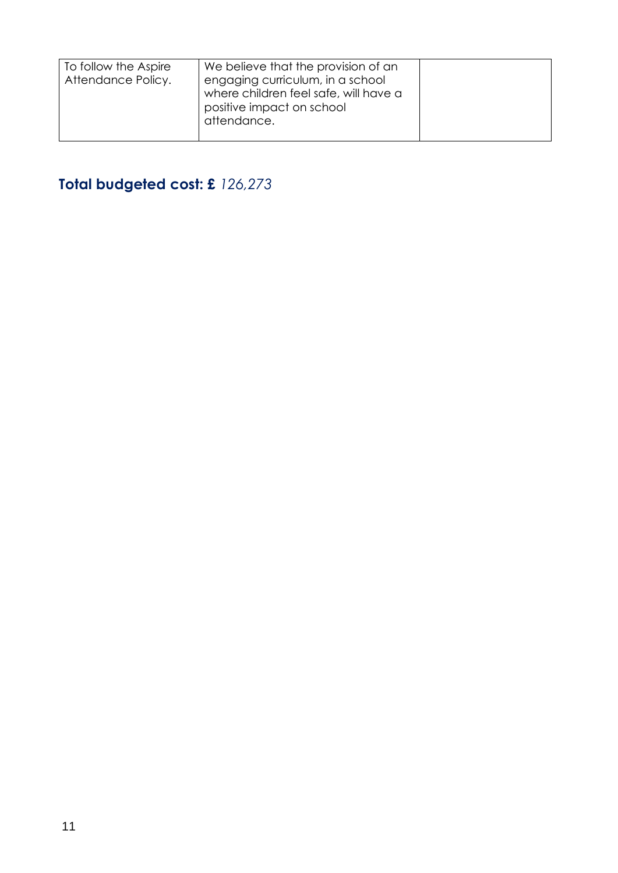| To follow the Aspire<br>Attendance Policy. | We believe that the provision of an<br>engaging curriculum, in a school<br>where children feel safe, will have a<br>positive impact on school<br>attendance. |  |
|--------------------------------------------|--------------------------------------------------------------------------------------------------------------------------------------------------------------|--|
|                                            |                                                                                                                                                              |  |

## **Total budgeted cost: £** *126,273*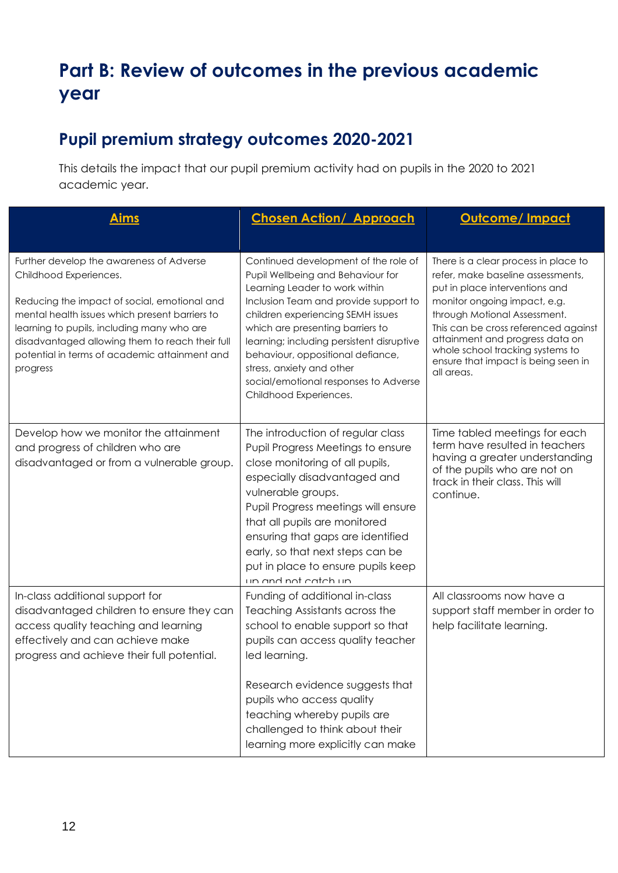# **Part B: Review of outcomes in the previous academic year**

## **Pupil premium strategy outcomes 2020-2021**

This details the impact that our pupil premium activity had on pupils in the 2020 to 2021 academic year.

| Aims                                                                                                                                                                                                                                                                                                                               | <b>Chosen Action/ Approach</b>                                                                                                                                                                                                                                                                                                                                                                                  | <b>Outcome/Impact</b>                                                                                                                                                                                                                                                                                                                           |
|------------------------------------------------------------------------------------------------------------------------------------------------------------------------------------------------------------------------------------------------------------------------------------------------------------------------------------|-----------------------------------------------------------------------------------------------------------------------------------------------------------------------------------------------------------------------------------------------------------------------------------------------------------------------------------------------------------------------------------------------------------------|-------------------------------------------------------------------------------------------------------------------------------------------------------------------------------------------------------------------------------------------------------------------------------------------------------------------------------------------------|
| Further develop the awareness of Adverse<br>Childhood Experiences.<br>Reducing the impact of social, emotional and<br>mental health issues which present barriers to<br>learning to pupils, including many who are<br>disadvantaged allowing them to reach their full<br>potential in terms of academic attainment and<br>progress | Continued development of the role of<br>Pupil Wellbeing and Behaviour for<br>Learning Leader to work within<br>Inclusion Team and provide support to<br>children experiencing SEMH issues<br>which are presenting barriers to<br>learning; including persistent disruptive<br>behaviour, oppositional defiance,<br>stress, anxiety and other<br>social/emotional responses to Adverse<br>Childhood Experiences. | There is a clear process in place to<br>refer, make baseline assessments,<br>put in place interventions and<br>monitor ongoing impact, e.g.<br>through Motional Assessment.<br>This can be cross referenced against<br>attainment and progress data on<br>whole school tracking systems to<br>ensure that impact is being seen in<br>all areas. |
| Develop how we monitor the attainment<br>and progress of children who are<br>disadvantaged or from a vulnerable group.                                                                                                                                                                                                             | The introduction of regular class<br>Pupil Progress Meetings to ensure<br>close monitoring of all pupils,<br>especially disadvantaged and<br>vulnerable groups.<br>Pupil Progress meetings will ensure<br>that all pupils are monitored<br>ensuring that gaps are identified<br>early, so that next steps can be<br>put in place to ensure pupils keep<br>un and not catch un                                   | Time tabled meetings for each<br>term have resulted in teachers<br>having a greater understanding<br>of the pupils who are not on<br>track in their class. This will<br>continue.                                                                                                                                                               |
| In-class additional support for<br>disadvantaged children to ensure they can<br>access quality teaching and learning<br>effectively and can achieve make<br>progress and achieve their full potential.                                                                                                                             | Funding of additional in-class<br>Teaching Assistants across the<br>school to enable support so that<br>pupils can access quality teacher<br>led learning.<br>Research evidence suggests that<br>pupils who access quality<br>teaching whereby pupils are<br>challenged to think about their<br>learning more explicitly can make                                                                               | All classrooms now have a<br>support staff member in order to<br>help facilitate learning.                                                                                                                                                                                                                                                      |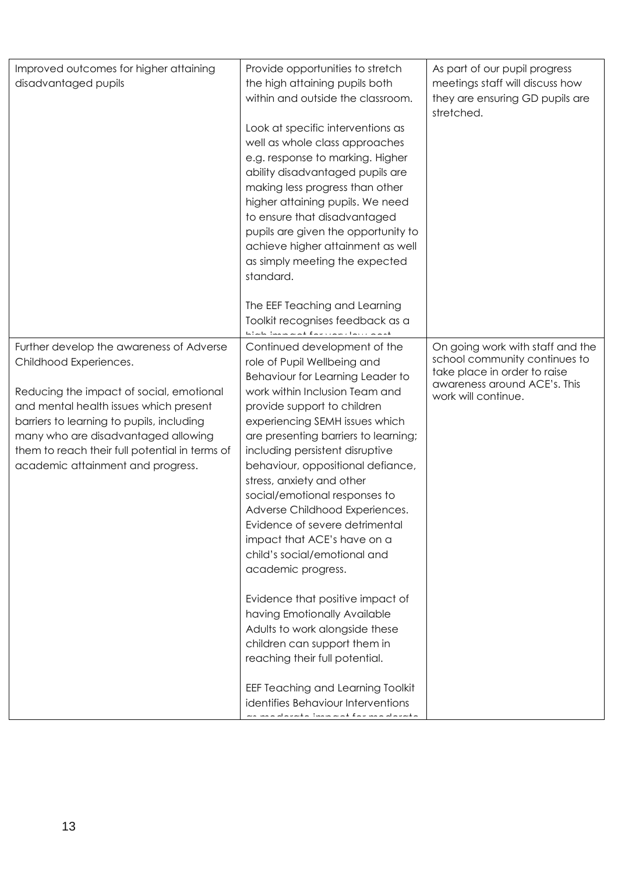| Improved outcomes for higher attaining<br>disadvantaged pupils                                                                                                                                                                                                                                                                      | Provide opportunities to stretch<br>the high attaining pupils both<br>within and outside the classroom.<br>Look at specific interventions as<br>well as whole class approaches<br>e.g. response to marking. Higher<br>ability disadvantaged pupils are<br>making less progress than other<br>higher attaining pupils. We need<br>to ensure that disadvantaged<br>pupils are given the opportunity to<br>achieve higher attainment as well<br>as simply meeting the expected<br>standard.                                                                                                                                                                                                                                                               | As part of our pupil progress<br>meetings staff will discuss how<br>they are ensuring GD pupils are<br>stretched.                                        |
|-------------------------------------------------------------------------------------------------------------------------------------------------------------------------------------------------------------------------------------------------------------------------------------------------------------------------------------|--------------------------------------------------------------------------------------------------------------------------------------------------------------------------------------------------------------------------------------------------------------------------------------------------------------------------------------------------------------------------------------------------------------------------------------------------------------------------------------------------------------------------------------------------------------------------------------------------------------------------------------------------------------------------------------------------------------------------------------------------------|----------------------------------------------------------------------------------------------------------------------------------------------------------|
|                                                                                                                                                                                                                                                                                                                                     | The EEF Teaching and Learning<br>Toolkit recognises feedback as a<br>المردد والمستحدة والاستقالة                                                                                                                                                                                                                                                                                                                                                                                                                                                                                                                                                                                                                                                       |                                                                                                                                                          |
| Further develop the awareness of Adverse<br>Childhood Experiences.<br>Reducing the impact of social, emotional<br>and mental health issues which present<br>barriers to learning to pupils, including<br>many who are disadvantaged allowing<br>them to reach their full potential in terms of<br>academic attainment and progress. | Continued development of the<br>role of Pupil Wellbeing and<br>Behaviour for Learning Leader to<br>work within Inclusion Team and<br>provide support to children<br>experiencing SEMH issues which<br>are presenting barriers to learning;<br>including persistent disruptive<br>behaviour, oppositional defiance,<br>stress, anxiety and other<br>social/emotional responses to<br>Adverse Childhood Experiences.<br>Evidence of severe detrimental<br>impact that ACE's have on a<br>child's social/emotional and<br>academic progress.<br>Evidence that positive impact of<br>having Emotionally Available<br>Adults to work alongside these<br>children can support them in<br>reaching their full potential.<br>EEF Teaching and Learning Toolkit | On going work with staff and the<br>school community continues to<br>take place in order to raise<br>awareness around ACE's. This<br>work will continue. |
|                                                                                                                                                                                                                                                                                                                                     | identifies Behaviour Interventions<br>an ann alavada inna aind fav ann alavada                                                                                                                                                                                                                                                                                                                                                                                                                                                                                                                                                                                                                                                                         |                                                                                                                                                          |